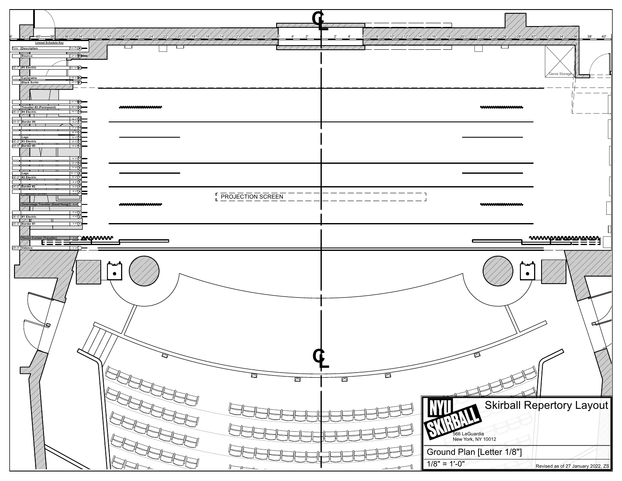